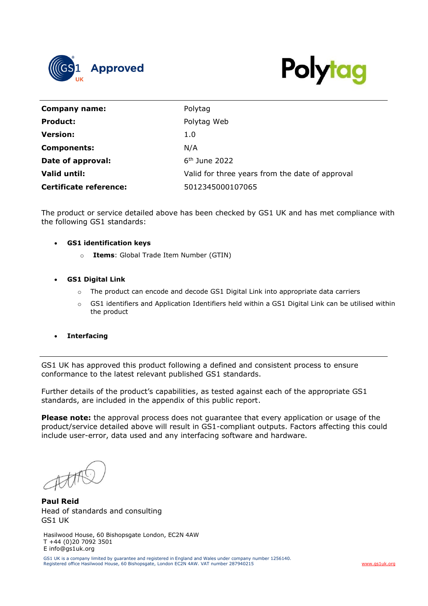



| Company name:                 | Polytag                                         |
|-------------------------------|-------------------------------------------------|
| <b>Product:</b>               | Polytag Web                                     |
| <b>Version:</b>               | 1.0                                             |
| <b>Components:</b>            | N/A                                             |
| Date of approval:             | $6th$ June 2022                                 |
| Valid until:                  | Valid for three years from the date of approval |
| <b>Certificate reference:</b> | 5012345000107065                                |

The product or service detailed above has been checked by GS1 UK and has met compliance with the following GS1 standards:

## • **GS1 identification keys**

- o **Items**: Global Trade Item Number (GTIN)
- **GS1 Digital Link**
	- o The product can encode and decode GS1 Digital Link into appropriate data carriers
	- o GS1 identifiers and Application Identifiers held within a GS1 Digital Link can be utilised within the product
- **Interfacing**

GS1 UK has approved this product following a defined and consistent process to ensure conformance to the latest relevant published GS1 standards.

Further details of the product's capabilities, as tested against each of the appropriate GS1 standards, are included in the appendix of this public report.

**Please note:** the approval process does not guarantee that every application or usage of the product/service detailed above will result in GS1-compliant outputs. Factors affecting this could include user-error, data used and any interfacing software and hardware.

**Paul Reid** Head of standards and consulting GS1 UK

Hasilwood House, 60 Bishopsgate London, EC2N 4AW T +44 (0)20 7092 3501 E info@gs1uk.org

GS1 UK is a company limited by guarantee and registered in England and Wales under company number 1256140.<br>Registered office Hasilwood House, 60 Bishopsgate, London EC2N 4AW. VAT number 287940215